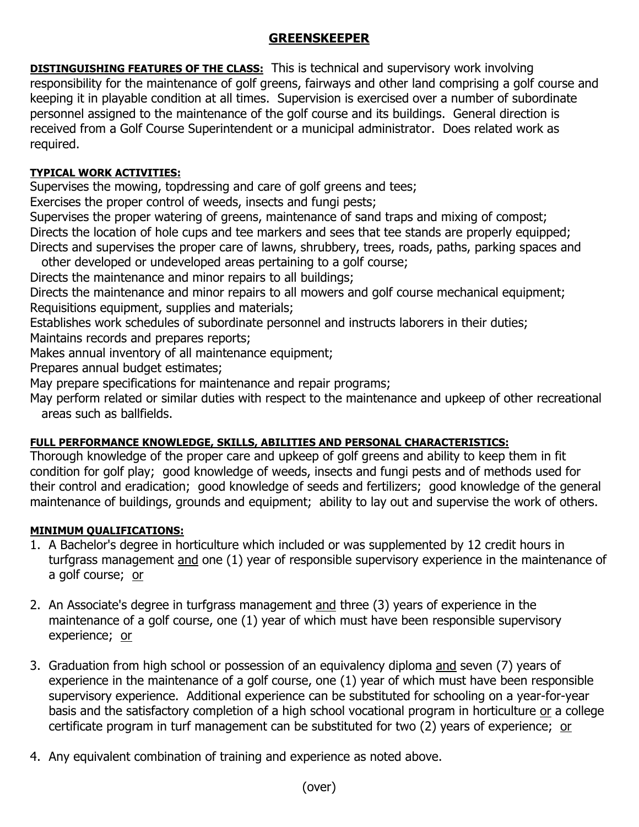# **GREENSKEEPER**

**DISTINGUISHING FEATURES OF THE CLASS:** This is technical and supervisory work involving responsibility for the maintenance of golf greens, fairways and other land comprising a golf course and keeping it in playable condition at all times. Supervision is exercised over a number of subordinate personnel assigned to the maintenance of the golf course and its buildings. General direction is received from a Golf Course Superintendent or a municipal administrator. Does related work as required.

## **TYPICAL WORK ACTIVITIES:**

Supervises the mowing, topdressing and care of golf greens and tees;

Exercises the proper control of weeds, insects and fungi pests;

Supervises the proper watering of greens, maintenance of sand traps and mixing of compost; Directs the location of hole cups and tee markers and sees that tee stands are properly equipped; Directs and supervises the proper care of lawns, shrubbery, trees, roads, paths, parking spaces and

other developed or undeveloped areas pertaining to a golf course;

Directs the maintenance and minor repairs to all buildings;

Directs the maintenance and minor repairs to all mowers and golf course mechanical equipment; Requisitions equipment, supplies and materials;

Establishes work schedules of subordinate personnel and instructs laborers in their duties;

Maintains records and prepares reports;

Makes annual inventory of all maintenance equipment;

Prepares annual budget estimates;

May prepare specifications for maintenance and repair programs;

May perform related or similar duties with respect to the maintenance and upkeep of other recreational areas such as ballfields.

### **FULL PERFORMANCE KNOWLEDGE, SKILLS, ABILITIES AND PERSONAL CHARACTERISTICS:**

Thorough knowledge of the proper care and upkeep of golf greens and ability to keep them in fit condition for golf play; good knowledge of weeds, insects and fungi pests and of methods used for their control and eradication; good knowledge of seeds and fertilizers; good knowledge of the general maintenance of buildings, grounds and equipment; ability to lay out and supervise the work of others.

### **MINIMUM QUALIFICATIONS:**

- 1. A Bachelor's degree in horticulture which included or was supplemented by 12 credit hours in turfgrass management and one (1) year of responsible supervisory experience in the maintenance of a golf course; or
- 2. An Associate's degree in turfgrass management and three (3) years of experience in the maintenance of a golf course, one (1) year of which must have been responsible supervisory experience; or
- 3. Graduation from high school or possession of an equivalency diploma and seven (7) years of experience in the maintenance of a golf course, one (1) year of which must have been responsible supervisory experience. Additional experience can be substituted for schooling on a year-for-year basis and the satisfactory completion of a high school vocational program in horticulture or a college certificate program in turf management can be substituted for two (2) years of experience; or
- 4. Any equivalent combination of training and experience as noted above.